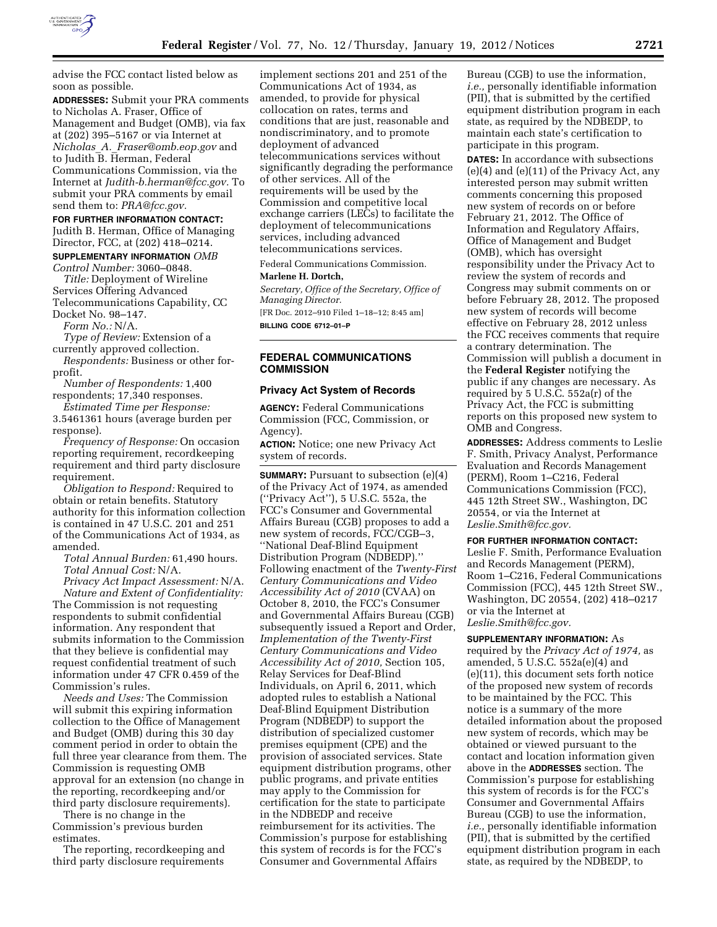

advise the FCC contact listed below as soon as possible.

**ADDRESSES:** Submit your PRA comments to Nicholas A. Fraser, Office of Management and Budget (OMB), via fax at (202) 395–5167 or via Internet at *Nicholas*\_*A.*\_*[Fraser@omb.eop.gov](mailto:Nicholas_A._Fraser@omb.eop.gov)* and to Judith B. Herman, Federal Communications Commission, via the Internet at *[Judith-b.herman@fcc.gov.](mailto:Judith-b.herman@fcc.gov)* To submit your PRA comments by email send them to: *[PRA@fcc.gov.](mailto:PRA@fcc.gov)* 

### **FOR FURTHER INFORMATION CONTACT:**

Judith B. Herman, Office of Managing Director, FCC, at (202) 418–0214.

## **SUPPLEMENTARY INFORMATION** *OMB Control Number:* 3060–0848.

*Title:* Deployment of Wireline Services Offering Advanced Telecommunications Capability, CC Docket No. 98–147.

*Form No.:* N/A.

*Type of Review:* Extension of a currently approved collection.

*Respondents:* Business or other forprofit.

*Number of Respondents:* 1,400 respondents; 17,340 responses.

*Estimated Time per Response:*  3.5461361 hours (average burden per response).

*Frequency of Response:* On occasion reporting requirement, recordkeeping requirement and third party disclosure requirement.

*Obligation to Respond:* Required to obtain or retain benefits. Statutory authority for this information collection is contained in 47 U.S.C. 201 and 251 of the Communications Act of 1934, as amended.

*Total Annual Burden:* 61,490 hours. *Total Annual Cost:* N/A.

*Privacy Act Impact Assessment:* N/A. *Nature and Extent of Confidentiality:*  The Commission is not requesting respondents to submit confidential information. Any respondent that submits information to the Commission that they believe is confidential may request confidential treatment of such information under 47 CFR 0.459 of the Commission's rules.

*Needs and Uses:* The Commission will submit this expiring information collection to the Office of Management and Budget (OMB) during this 30 day comment period in order to obtain the full three year clearance from them. The Commission is requesting OMB approval for an extension (no change in the reporting, recordkeeping and/or third party disclosure requirements).

There is no change in the Commission's previous burden estimates.

The reporting, recordkeeping and third party disclosure requirements

implement sections 201 and 251 of the Communications Act of 1934, as amended, to provide for physical collocation on rates, terms and conditions that are just, reasonable and nondiscriminatory, and to promote deployment of advanced telecommunications services without significantly degrading the performance of other services. All of the requirements will be used by the Commission and competitive local exchange carriers (LECs) to facilitate the deployment of telecommunications services, including advanced telecommunications services.

Federal Communications Commission.

### **Marlene H. Dortch,**

*Secretary, Office of the Secretary, Office of Managing Director.* 

[FR Doc. 2012–910 Filed 1–18–12; 8:45 am] **BILLING CODE 6712–01–P** 

## **FEDERAL COMMUNICATIONS COMMISSION**

## **Privacy Act System of Records**

**AGENCY:** Federal Communications Commission (FCC, Commission, or Agency).

**ACTION:** Notice; one new Privacy Act system of records.

**SUMMARY:** Pursuant to subsection (e)(4) of the Privacy Act of 1974, as amended (''Privacy Act''), 5 U.S.C. 552a, the FCC's Consumer and Governmental Affairs Bureau (CGB) proposes to add a new system of records, FCC/CGB–3, ''National Deaf-Blind Equipment Distribution Program (NDBEDP).'' Following enactment of the *Twenty-First Century Communications and Video Accessibility Act of 2010* (CVAA) on October 8, 2010, the FCC's Consumer and Governmental Affairs Bureau (CGB) subsequently issued a Report and Order, *Implementation of the Twenty-First Century Communications and Video Accessibility Act of 2010,* Section 105, Relay Services for Deaf-Blind Individuals, on April 6, 2011, which adopted rules to establish a National Deaf-Blind Equipment Distribution Program (NDBEDP) to support the distribution of specialized customer premises equipment (CPE) and the provision of associated services. State equipment distribution programs, other public programs, and private entities may apply to the Commission for certification for the state to participate in the NDBEDP and receive reimbursement for its activities. The Commission's purpose for establishing this system of records is for the FCC's Consumer and Governmental Affairs

Bureau (CGB) to use the information, *i.e.,* personally identifiable information (PII), that is submitted by the certified equipment distribution program in each state, as required by the NDBEDP, to maintain each state's certification to participate in this program.

**DATES:** In accordance with subsections (e)(4) and (e)(11) of the Privacy Act, any interested person may submit written comments concerning this proposed new system of records on or before February 21, 2012. The Office of Information and Regulatory Affairs, Office of Management and Budget (OMB), which has oversight responsibility under the Privacy Act to review the system of records and Congress may submit comments on or before February 28, 2012. The proposed new system of records will become effective on February 28, 2012 unless the FCC receives comments that require a contrary determination. The Commission will publish a document in the **Federal Register** notifying the public if any changes are necessary. As required by 5 U.S.C. 552a(r) of the Privacy Act, the FCC is submitting reports on this proposed new system to OMB and Congress.

**ADDRESSES:** Address comments to Leslie F. Smith, Privacy Analyst, Performance Evaluation and Records Management (PERM), Room 1–C216, Federal Communications Commission (FCC), 445 12th Street SW., Washington, DC 20554, or via the Internet at *[Leslie.Smith@fcc.gov.](mailto:Leslie.Smith@fcc.gov)* 

## **FOR FURTHER INFORMATION CONTACT:**

Leslie F. Smith, Performance Evaluation and Records Management (PERM), Room 1–C216, Federal Communications Commission (FCC), 445 12th Street SW., Washington, DC 20554, (202) 418–0217 or via the Internet at *[Leslie.Smith@fcc.gov.](mailto:Leslie.Smith@fcc.gov)* 

### **SUPPLEMENTARY INFORMATION:** As

required by the *Privacy Act of 1974,* as amended, 5 U.S.C. 552a(e)(4) and (e)(11), this document sets forth notice of the proposed new system of records to be maintained by the FCC. This notice is a summary of the more detailed information about the proposed new system of records, which may be obtained or viewed pursuant to the contact and location information given above in the **ADDRESSES** section. The Commission's purpose for establishing this system of records is for the FCC's Consumer and Governmental Affairs Bureau (CGB) to use the information, *i.e.,* personally identifiable information (PII), that is submitted by the certified equipment distribution program in each state, as required by the NDBEDP, to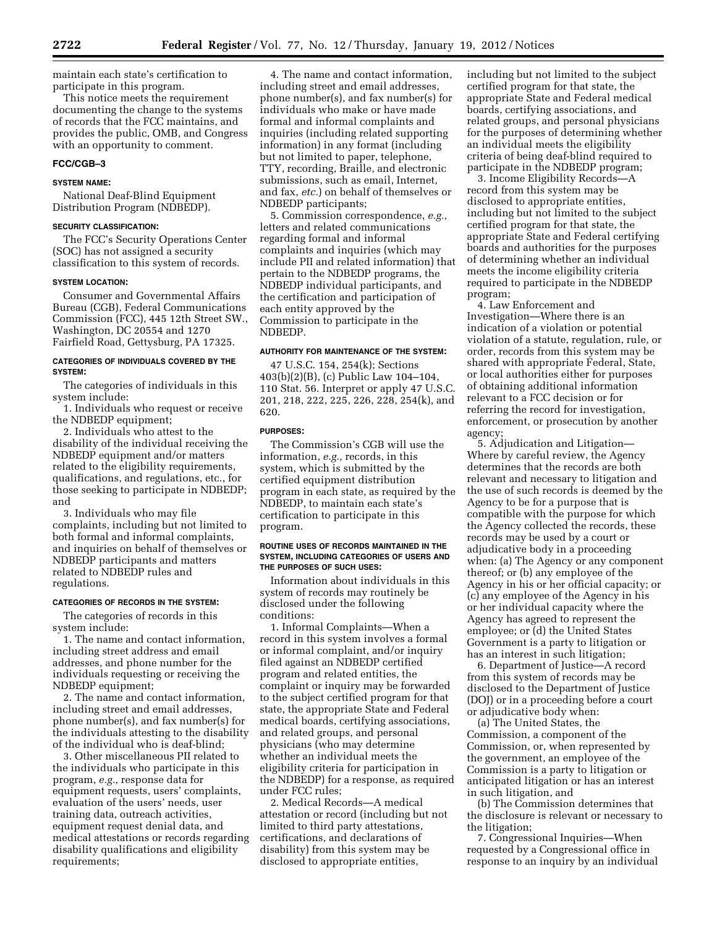maintain each state's certification to participate in this program.

This notice meets the requirement documenting the change to the systems of records that the FCC maintains, and provides the public, OMB, and Congress with an opportunity to comment.

## **FCC/CGB–3**

## **SYSTEM NAME:**

National Deaf-Blind Equipment Distribution Program (NDBEDP).

#### **SECURITY CLASSIFICATION:**

The FCC's Security Operations Center (SOC) has not assigned a security classification to this system of records.

### **SYSTEM LOCATION:**

Consumer and Governmental Affairs Bureau (CGB), Federal Communications Commission (FCC), 445 12th Street SW., Washington, DC 20554 and 1270 Fairfield Road, Gettysburg, PA 17325.

## **CATEGORIES OF INDIVIDUALS COVERED BY THE SYSTEM:**

The categories of individuals in this system include:

1. Individuals who request or receive the NDBEDP equipment;

2. Individuals who attest to the disability of the individual receiving the NDBEDP equipment and/or matters related to the eligibility requirements, qualifications, and regulations, etc., for those seeking to participate in NDBEDP; and

3. Individuals who may file complaints, including but not limited to both formal and informal complaints, and inquiries on behalf of themselves or NDBEDP participants and matters related to NDBEDP rules and regulations.

### **CATEGORIES OF RECORDS IN THE SYSTEM:**

The categories of records in this system include:

1. The name and contact information, including street address and email addresses, and phone number for the individuals requesting or receiving the NDBEDP equipment;

2. The name and contact information, including street and email addresses, phone number(s), and fax number(s) for the individuals attesting to the disability of the individual who is deaf-blind;

3. Other miscellaneous PII related to the individuals who participate in this program, *e.g.,* response data for equipment requests, users' complaints, evaluation of the users' needs, user training data, outreach activities, equipment request denial data, and medical attestations or records regarding disability qualifications and eligibility requirements;

4. The name and contact information, including street and email addresses, phone number(s), and fax number(s) for individuals who make or have made formal and informal complaints and inquiries (including related supporting information) in any format (including but not limited to paper, telephone, TTY, recording, Braille, and electronic submissions, such as email, Internet, and fax, *etc.*) on behalf of themselves or NDBEDP participants;

5. Commission correspondence, *e.g.,*  letters and related communications regarding formal and informal complaints and inquiries (which may include PII and related information) that pertain to the NDBEDP programs, the NDBEDP individual participants, and the certification and participation of each entity approved by the Commission to participate in the NDBEDP.

### **AUTHORITY FOR MAINTENANCE OF THE SYSTEM:**

47 U.S.C. 154, 254(k); Sections 403(b)(2)(B), (c) Public Law 104–104, 110 Stat. 56. Interpret or apply 47 U.S.C. 201, 218, 222, 225, 226, 228, 254(k), and 620.

### **PURPOSES:**

The Commission's CGB will use the information, *e.g.,* records, in this system, which is submitted by the certified equipment distribution program in each state, as required by the NDBEDP, to maintain each state's certification to participate in this program.

### **ROUTINE USES OF RECORDS MAINTAINED IN THE SYSTEM, INCLUDING CATEGORIES OF USERS AND THE PURPOSES OF SUCH USES:**

Information about individuals in this system of records may routinely be disclosed under the following conditions:

1. Informal Complaints—When a record in this system involves a formal or informal complaint, and/or inquiry filed against an NDBEDP certified program and related entities, the complaint or inquiry may be forwarded to the subject certified program for that state, the appropriate State and Federal medical boards, certifying associations, and related groups, and personal physicians (who may determine whether an individual meets the eligibility criteria for participation in the NDBEDP) for a response, as required under FCC rules;

2. Medical Records—A medical attestation or record (including but not limited to third party attestations, certifications, and declarations of disability) from this system may be disclosed to appropriate entities,

including but not limited to the subject certified program for that state, the appropriate State and Federal medical boards, certifying associations, and related groups, and personal physicians for the purposes of determining whether an individual meets the eligibility criteria of being deaf-blind required to participate in the NDBEDP program;

3. Income Eligibility Records—A record from this system may be disclosed to appropriate entities, including but not limited to the subject certified program for that state, the appropriate State and Federal certifying boards and authorities for the purposes of determining whether an individual meets the income eligibility criteria required to participate in the NDBEDP program;

4. Law Enforcement and Investigation—Where there is an indication of a violation or potential violation of a statute, regulation, rule, or order, records from this system may be shared with appropriate Federal, State, or local authorities either for purposes of obtaining additional information relevant to a FCC decision or for referring the record for investigation, enforcement, or prosecution by another agency;

5. Adjudication and Litigation— Where by careful review, the Agency determines that the records are both relevant and necessary to litigation and the use of such records is deemed by the Agency to be for a purpose that is compatible with the purpose for which the Agency collected the records, these records may be used by a court or adjudicative body in a proceeding when: (a) The Agency or any component thereof; or (b) any employee of the Agency in his or her official capacity; or (c) any employee of the Agency in his or her individual capacity where the Agency has agreed to represent the employee; or (d) the United States Government is a party to litigation or has an interest in such litigation;

6. Department of Justice—A record from this system of records may be disclosed to the Department of Justice (DOJ) or in a proceeding before a court or adjudicative body when:

(a) The United States, the Commission, a component of the Commission, or, when represented by the government, an employee of the Commission is a party to litigation or anticipated litigation or has an interest in such litigation, and

(b) The Commission determines that the disclosure is relevant or necessary to the litigation;

7. Congressional Inquiries—When requested by a Congressional office in response to an inquiry by an individual